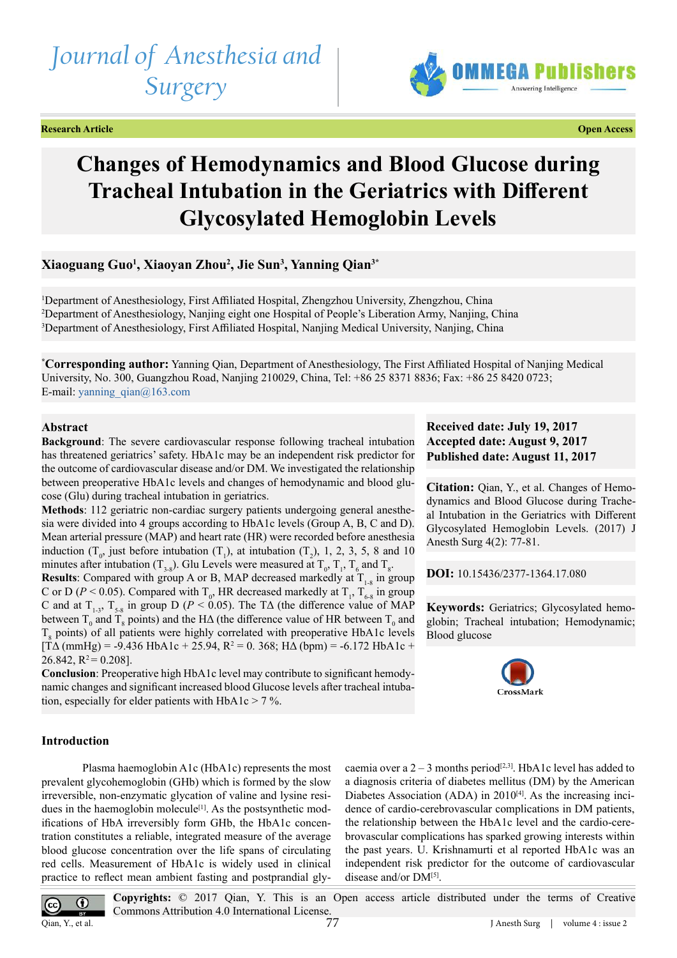# *Journal of Anesthesia and Surgery*

**Research Article Open Access**



# **Changes of Hemodynamics and Blood Glucose during Tracheal Intubation in the Geriatrics with Different Glycosylated Hemoglobin Levels**

# **Xiaoguang Guo1 , Xiaoyan Zhou2 , Jie Sun3 , Yanning Qian3\***

1 Department of Anesthesiology, First Affiliated Hospital, Zhengzhou University, Zhengzhou, China 2 Department of Anesthesiology, Nanjing eight one Hospital of People's Liberation Army, Nanjing, China 3 Department of Anesthesiology, First Affiliated Hospital, Nanjing Medical University, Nanjing, China

**\* Corresponding author:** Yanning Qian, Department of Anesthesiology, The First Affiliated Hospital of Nanjing Medical University, No. 300, Guangzhou Road, Nanjing 210029, China, Tel: +86 25 8371 8836; Fax: +86 25 8420 0723; E-mail: yanning  $qian@163.com$ 

# **Abstract**

**Background**: The severe cardiovascular response following tracheal intubation has threatened geriatrics' safety. HbA1c may be an independent risk predictor for the outcome of cardiovascular disease and/or DM. We investigated the relationship between preoperative HbA1c levels and changes of hemodynamic and blood glucose (Glu) during tracheal intubation in geriatrics.

**Methods**: 112 geriatric non-cardiac surgery patients undergoing general anesthesia were divided into 4 groups according to HbA1c levels (Group A, B, C and D). Mean arterial pressure (MAP) and heart rate (HR) were recorded before anesthesia induction  $(T_0$ , just before intubation  $(T_1)$ , at intubation  $(T_2)$ , 1, 2, 3, 5, 8 and 10 minutes after intubation  $(T_{3.8})$ . Glu Levels were measured at  $T_0$ ,  $T_1$ ,  $T_6$  and  $T_8$ .

**Results**: Compared with group A or B, MAP decreased markedly at  $T_{1,8}$  in group C or D ( $P < 0.05$ ). Compared with T<sub>0</sub>, HR decreased markedly at T<sub>1</sub>, T<sub>6-8</sub> in group C and at  $T_{1,3}$ ,  $T_{5,8}$  in group D ( $P \le 0.05$ ). The T $\Delta$  (the difference value of MAP between  $T_0$  and  $T_8$  points) and the H $\Delta$  (the difference value of HR between  $T_0$  and  $T<sub>8</sub>$  points) of all patients were highly correlated with preoperative HbA1c levels  $[T\Delta (mmHg) = -9.436 HbA1c + 25.94, R^2 = 0.368; H\Delta (bpm) = -6.172 HbA1c +$ 26.842,  $R^2 = 0.208$ ].

**Conclusion**: Preoperative high HbA1c level may contribute to significant hemodynamic changes and significant increased blood Glucose levels after tracheal intubation, especially for elder patients with  $HbA1c > 7$ %.

# **Introduction**

Plasma haemoglobin A1c (HbA1c) represents the most prevalent glycohemoglobin (GHb) which is formed by the slow irreversible, non-enzymatic glycation of valine and lysine residues in the haemoglobin molecule<sup>[1]</sup>. As the postsynthetic modifications of HbA irreversibly form GHb, the HbA1c concentration constitutes a reliable, integrated measure of the average blood glucose concentration over the life spans of circulating red cells. Measurement of HbA1c is widely used in clinical practice to reflect mean ambient fasting and postprandial glycaemia over a  $2 - 3$  months period<sup>[\[2,3\]](#page-4-1)</sup>. HbA1c level has added to a diagnosis criteria of diabetes mellitus (DM) by the American Diabetes Association (ADA) in  $2010^{[4]}$ . As the increasing incidence of cardio-cerebrovascular complications in DM patients, the relationship between the HbA1c level and the cardio-cerebrovascular complications has sparked growing interests within the past years. U. Krishnamurti et al reported HbA1c was an independent risk predictor for the outcome of cardiovascular disease and/or DM<sup>[5]</sup>.



# **Received date: July 19, 2017 Accepted date: August 9, 2017 Published date: August 11, 2017**

**Citation:** Qian, Y., et al. Changes of Hemodynamics and Blood Glucose during Tracheal Intubation in the Geriatrics with Different Glycosylated Hemoglobin Levels. (2017) J Anesth Surg 4(2): 77-81.

**DOI:** [10.15436/2377-1364.1](https://doi.org/10.15436/2377-1364.17.080)7.080

**Keywords:** Geriatrics; Glycosylated hemoglobin; Tracheal intubation; Hemodynamic; Blood glucose

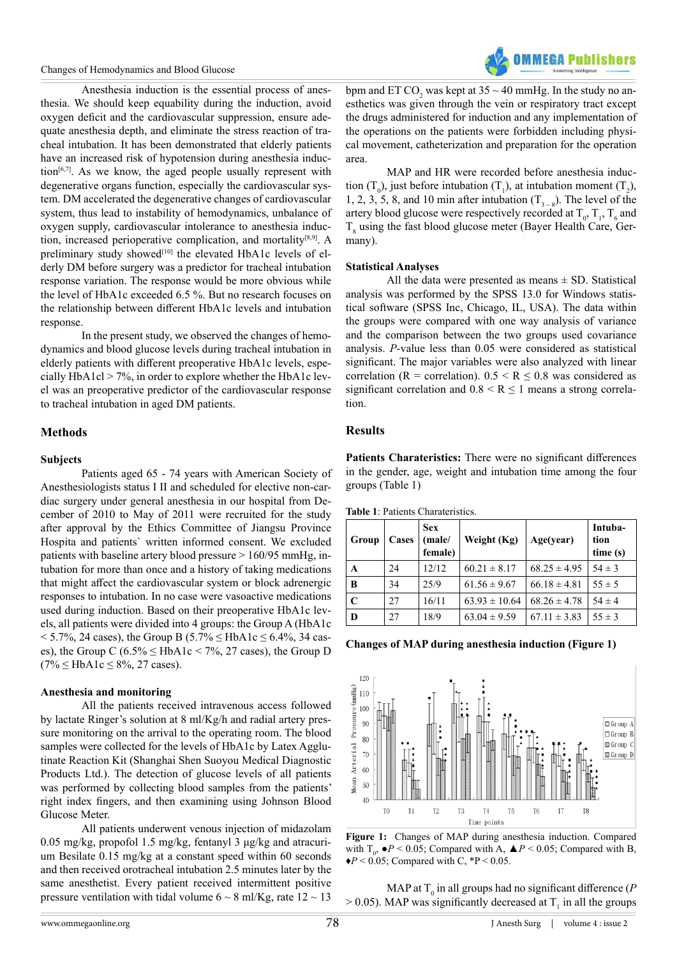

Anesthesia induction is the essential process of anesthesia. We should keep equability during the induction, avoid oxygen deficit and the cardiovascular suppression, ensure adequate anesthesia depth, and eliminate the stress reaction of tracheal intubation. It has been demonstrated that elderly patients have an increased risk of hypotension during anesthesia induction $[6,7]$ . As we know, the aged people usually represent with degenerative organs function, especially the cardiovascular system. DM accelerated the degenerative changes of cardiovascular system, thus lead to instability of hemodynamics, unbalance of oxygen supply, cardiovascular intolerance to anesthesia induc-tion, increased perioperative complication, and mortality<sup>[\[8,9\]](#page-4-5)</sup>. A preliminary study showed<sup>[10]</sup> the elevated HbA1c levels of elderly DM before surgery was a predictor for tracheal intubation response variation. The response would be more obvious while the level of HbA1c exceeded 6.5 %. But no research focuses on the relationship between different HbA1c levels and intubation response.

In the present study, we observed the changes of hemodynamics and blood glucose levels during tracheal intubation in elderly patients with different preoperative HbA1c levels, especially HbA1cl > 7%, in order to explore whether the HbA1c level was an preoperative predictor of the cardiovascular response to tracheal intubation in aged DM patients.

# **Methods**

## **Subjects**

Patients aged 65 - 74 years with American Society of Anesthesiologists status I II and scheduled for elective non-cardiac surgery under general anesthesia in our hospital from December of 2010 to May of 2011 were recruited for the study after approval by the Ethics Committee of Jiangsu Province Hospita and patients` written informed consent. We excluded patients with baseline artery blood pressure > 160/95 mmHg, intubation for more than once and a history of taking medications that might affect the cardiovascular system or block adrenergic responses to intubation. In no case were vasoactive medications used during induction. Based on their preoperative HbA1c levels, all patients were divided into 4 groups: the Group A (HbA1c  $<$  5.7%, 24 cases), the Group B (5.7%  $\leq$  HbA1c  $\leq$  6.4%, 34 cases), the Group C (6.5%  $\leq$  HbA1c  $\leq$  7%, 27 cases), the Group D  $(7\% \leq HbA1c \leq 8\%, 27 \text{ cases}).$ 

#### **Anesthesia and monitoring**

All the patients received intravenous access followed by lactate Ringer's solution at 8 ml/Kg/h and radial artery pressure monitoring on the arrival to the operating room. The blood samples were collected for the levels of HbA1c by Latex Agglutinate Reaction Kit (Shanghai Shen Suoyou Medical Diagnostic Products Ltd.). The detection of glucose levels of all patients was performed by collecting blood samples from the patients' right index fingers, and then examining using Johnson Blood Glucose Meter.

All patients underwent venous injection of midazolam 0.05 mg/kg, propofol 1.5 mg/kg, fentanyl 3 μg/kg and atracurium Besilate 0.15 mg/kg at a constant speed within 60 seconds and then received orotracheal intubation 2.5 minutes later by the same anesthetist. Every patient received intermittent positive pressure ventilation with tidal volume  $6 \sim 8$  ml/Kg, rate  $12 \sim 13$ 

bpm and ET CO<sub>2</sub> was kept at 35  $\sim$  40 mmHg. In the study no anesthetics was given through the vein or respiratory tract except the drugs administered for induction and any implementation of the operations on the patients were forbidden including physical movement, catheterization and preparation for the operation area.

MAP and HR were recorded before anesthesia induction  $(T_0)$ , just before intubation  $(T_1)$ , at intubation moment  $(T_2)$ , 1, 2, 3, 5, 8, and 10 min after intubation  $(T_{3-x})$ . The level of the artery blood glucose were respectively recorded at  $T_0$ ,  $T_1$ ,  $T_6$  and  $T<sub>8</sub>$  using the fast blood glucose meter (Bayer Health Care, Germany).

## **Statistical Analyses**

All the data were presented as means  $\pm$  SD. Statistical analysis was performed by the SPSS 13.0 for Windows statistical software (SPSS Inc, Chicago, IL, USA). The data within the groups were compared with one way analysis of variance and the comparison between the two groups used covariance analysis. *P*-value less than 0.05 were considered as statistical significant. The major variables were also analyzed with linear correlation (R = correlation).  $0.5 \le R \le 0.8$  was considered as significant correlation and  $0.8 \le R \le 1$  means a strong correlation.

# **Results**

**Patients Charateristics:** There were no significant differences in the gender, age, weight and intubation time among the four groups (Table 1)

| Group | Cases | <b>Sex</b><br>(male/<br>female) | Weight (Kg)       | Age(year)        | Intuba-<br>tion<br>time (s) |
|-------|-------|---------------------------------|-------------------|------------------|-----------------------------|
| A     | 24    | 12/12                           | $60.21 \pm 8.17$  | $68.25 \pm 4.95$ | $54 \pm 3$                  |
| B     | 34    | 25/9                            | $61.56 \pm 9.67$  | $66.18 \pm 4.81$ | $55 \pm 5$                  |
| C     | 27    | 16/11                           | $63.93 \pm 10.64$ | $68.26 \pm 4.78$ | $54 \pm 4$                  |
| D     | 27    | 18/9                            | $63.04 \pm 9.59$  | $67.11 \pm 3.83$ | $55 \pm 3$                  |

**Table 1**: Patients Charateristics.

| <b>Changes of MAP during anesthesia induction (Figure 1)</b> |  |  |  |  |  |
|--------------------------------------------------------------|--|--|--|--|--|
|--------------------------------------------------------------|--|--|--|--|--|



**Figure 1:** Changes of MAP during anesthesia induction. Compared with  $T_0$ ,  $\bullet P < 0.05$ ; Compared with A,  $\triangle P < 0.05$ ; Compared with B, ♦*P* < 0.05; Compared with C, \*P < 0.05.

MAP at  $T_0$  in all groups had no significant difference (*P*  $> 0.05$ ). MAP was significantly decreased at T<sub>1</sub> in all the groups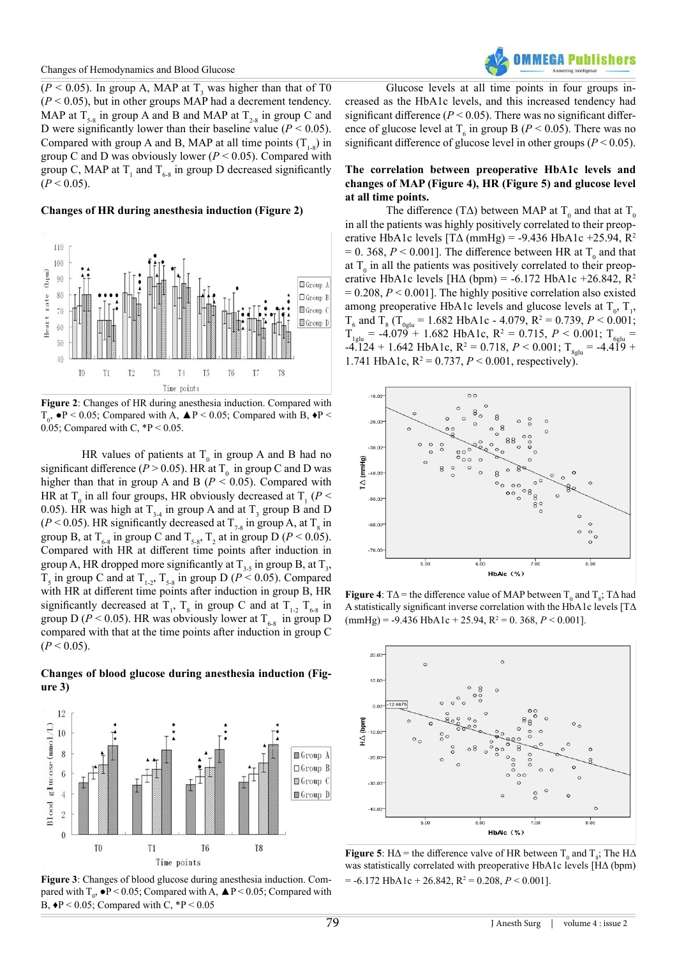

( $P < 0.05$ ). In group A, MAP at T<sub>3</sub> was higher than that of T0  $(P < 0.05)$ , but in other groups MAP had a decrement tendency. MAP at  $T_{5,8}$  in group A and B and MAP at  $T_{2,8}$  in group C and D were significantly lower than their baseline value  $(P < 0.05)$ . Compared with group A and B, MAP at all time points  $(T_{1.8})$  in group C and D was obviously lower (*P* < 0.05). Compared with group C, MAP at  $T_1$  and  $T_{6-8}$  in group D decreased significantly  $(P < 0.05)$ .

**Changes of HR during anesthesia induction (Figure 2)**



**Figure 2**: Changes of HR during anesthesia induction. Compared with  $T_0$ ,  $\bullet P$  < 0.05; Compared with A,  $\blacktriangle P$  < 0.05; Compared with B,  $\bullet P$  < 0.05; Compared with C,  $*P < 0.05$ .

HR values of patients at  $T_0$  in group A and B had no significant difference ( $P > 0.05$ ). HR at T<sub>0</sub> in group C and D was higher than that in group A and B (*P* < 0.05). Compared with HR at  $T_0$  in all four groups, HR obviously decreased at  $T_1$  ( $P <$ 0.05). HR was high at  $T_{3,4}$  in group A and at  $T_3$  group B and D ( $P < 0.05$ ). HR significantly decreased at  $T_{7.8}$  in group A, at  $T_8$  in group B, at  $T_{6-8}$  in group C and  $T_{5-8}$ ,  $T_2$  at in group D (*P* < 0.05). Compared with HR at different time points after induction in group A, HR dropped more significantly at  $T_{3.5}$  in group B, at  $T_3$ ,  $T_5$  in group C and at  $T_{1,2}$ ,  $T_{5,8}$  in group D (*P* < 0.05). Compared with HR at different time points after induction in group B, HR significantly decreased at  $T_1$ ,  $T_8$  in group C and at  $T_{1-2}$ ,  $T_{6-8}$  in group D ( $P < 0.05$ ). HR was obviously lower at T<sub>6-8</sub> in group D compared with that at the time points after induction in group C  $(P < 0.05)$ .

**Changes of blood glucose during anesthesia induction (Figure 3)**



**Figure 3**: Changes of blood glucose during anesthesia induction. Compared with  $T_0$ ,  $\bullet P < 0.05$ ; Compared with A,  $\triangle P < 0.05$ ; Compared with B,  $\blacklozenge P < 0.05$ ; Compared with C,  $\blacklozenge P < 0.05$ 

Glucose levels at all time points in four groups increased as the HbA1c levels, and this increased tendency had significant difference ( $P < 0.05$ ). There was no significant difference of glucose level at  $T_6$  in group B ( $P < 0.05$ ). There was no significant difference of glucose level in other groups ( $P < 0.05$ ).

# **The correlation between preoperative HbA1c levels and changes of MAP (Figure 4), HR (Figure 5) and glucose level at all time points.**

The difference (T $\Delta$ ) between MAP at T<sub>0</sub> and that at T<sub>0</sub> in all the patients was highly positively correlated to their preoperative HbA1c levels  $[T\Delta$  (mmHg) = -9.436 HbA1c +25.94, R<sup>2</sup>  $= 0.368, P \le 0.001$ . The difference between HR at T<sub>0</sub> and that at  $T_0$  in all the patients was positively correlated to their preoperative HbA1c levels [H $\Delta$  (bpm) = -6.172 HbA1c +26.842, R<sup>2</sup> = 0.208, *P* < 0.001]. The highly positive correlation also existed among preoperative HbA1c levels and glucose levels at  $T_0$ ,  $T_1$ ,  $T_6$  and  $T_8$  ( $T_{0glu}$  = 1.682 HbA1c - 4.079, R<sup>2</sup> = 0.739, P < 0.001;  $T_{1glu}$  = -4.079 + 1.682 HbA1c, R<sup>2</sup> = 0.715, P < 0.001;  $T_{6glu}$  =  $-4.124 + 1.642$  HbA1c,  $R^2 = 0.718$ ,  $P < 0.001$ ;  $T_{\text{sglu}} = -4.419 +$ 1.741 HbA1c,  $R^2 = 0.737$ ,  $P < 0.001$ , respectively).



**Figure 4:** T $\Delta$  = the difference value of MAP between  $T_0$  and  $T_s$ ; T $\Delta$  had A statistically significant inverse correlation with the HbA1c levels [TΔ  $(mmHg) = -9.436 \text{ HbA1c} + 25.94, \mathbb{R}^2 = 0.368, P < 0.001$ 



**Figure 5**:  $HA$  = the difference valve of HR between  $T_0$  and  $T_s$ ; The H $\Delta$ was statistically correlated with preoperative HbA1c levels [HΔ (bpm)  $=$  -6.172 HbA1c + 26.842,  $R^2$  = 0.208, *P* < 0.001].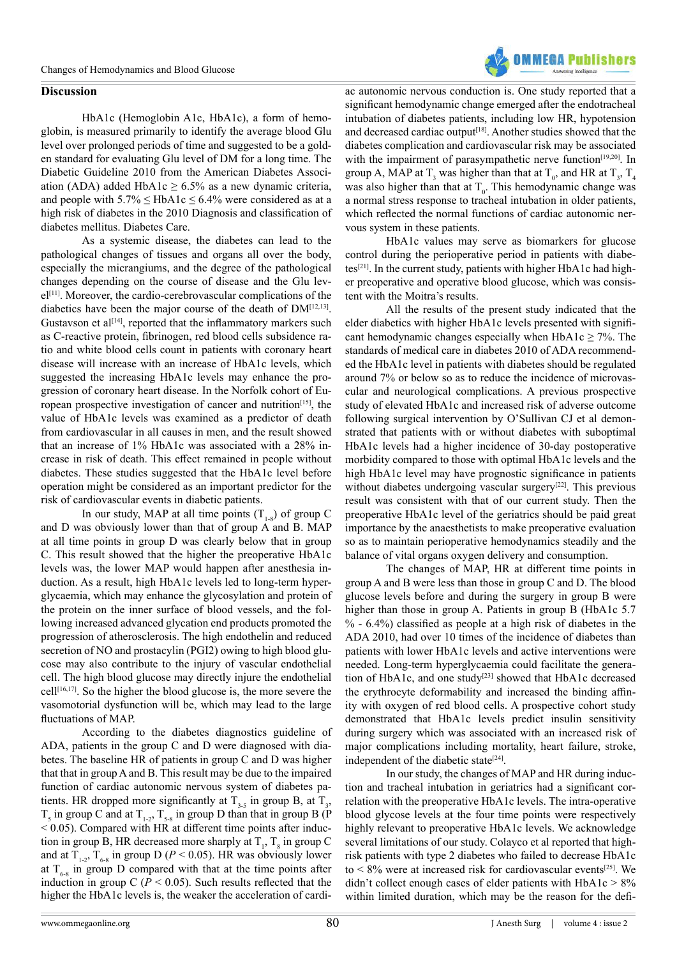

#### **Discussion**

HbA1c (Hemoglobin A1c, HbA1c), a form of hemoglobin, is measured primarily to identify the average blood Glu level over prolonged periods of time and suggested to be a golden standard for evaluating Glu level of DM for a long time. The Diabetic Guideline 2010 from the American Diabetes Association (ADA) added HbA1c  $\geq$  6.5% as a new dynamic criteria, and people with  $5.7\% \leq HbA1c \leq 6.4\%$  were considered as at a high risk of diabetes in the 2010 Diagnosis and classification of diabetes mellitus. Diabetes Care.

As a systemic disease, the diabetes can lead to the pathological changes of tissues and organs all over the body, especially the micrangiums, and the degree of the pathological changes depending on the course of disease and the Glu leve[l\[11\].](#page-4-7) Moreover, the cardio-cerebrovascular complications of the diabetics have been the major course of the death of D[M\[12,13\]](#page-4-8). Gustavson et al<sup>[14]</sup>, reported that the inflammatory markers such as C-reactive protein, fibrinogen, red blood cells subsidence ratio and white blood cells count in patients with coronary heart disease will increase with an increase of HbA1c levels, which suggested the increasing HbA1c levels may enhance the progression of coronary heart disease. In the Norfolk cohort of European prospective investigation of cancer and nutrition<sup>[15]</sup>, the value of HbA1c levels was examined as a predictor of death from cardiovascular in all causes in men, and the result showed that an increase of 1% HbA1c was associated with a 28% increase in risk of death. This effect remained in people without diabetes. These studies suggested that the HbA1c level before operation might be considered as an important predictor for the risk of cardiovascular events in diabetic patients.

In our study, MAP at all time points  $(T_{1.8})$  of group C and D was obviously lower than that of group A and B. MAP at all time points in group D was clearly below that in group C. This result showed that the higher the preoperative HbA1c levels was, the lower MAP would happen after anesthesia induction. As a result, high HbA1c levels led to long-term hyperglycaemia, which may enhance the glycosylation and protein of the protein on the inner surface of blood vessels, and the following increased advanced glycation end products promoted the progression of atherosclerosis. The high endothelin and reduced secretion of NO and prostacylin (PGI2) owing to high blood glucose may also contribute to the injury of vascular endothelial cell. The high blood glucose may directly injure the endothelial cel[l\[16,17\]](#page-4-11). So the higher the blood glucose is, the more severe the vasomotorial dysfunction will be, which may lead to the large fluctuations of MAP.

According to the diabetes diagnostics guideline of ADA, patients in the group C and D were diagnosed with diabetes. The baseline HR of patients in group C and D was higher that that in group A and B. This result may be due to the impaired function of cardiac autonomic nervous system of diabetes patients. HR dropped more significantly at  $T_{3.5}$  in group B, at  $T_3$ ,  $T_5$  in group C and at  $T_{1,2}$ ,  $T_{5,8}$  in group D than that in group B (P  $<$  0.05). Compared with HR at different time points after induction in group B, HR decreased more sharply at  $T_1$ ,  $T_8$  in group C and at  $T_{1,2}$ ,  $T_{6,8}$  in group D ( $P < 0.05$ ). HR was obviously lower at  $T_{6,8}$  in group D compared with that at the time points after induction in group C ( $P < 0.05$ ). Such results reflected that the higher the HbA1c levels is, the weaker the acceleration of cardiac autonomic nervous conduction is. One study reported that a significant hemodynamic change emerged after the endotracheal intubation of diabetes patients, including low HR, hypotension and decreased cardiac output<sup>[18]</sup>. Another studies showed that the diabetes complication and cardiovascular risk may be associated with the impairment of parasympathetic nerve function<sup>[\[19,20\]](#page-4-13)</sup>. In group A, MAP at  $T_3$  was higher than that at  $T_0$ , and HR at  $T_3$ ,  $T_4$ was also higher than that at  $T_0$ . This hemodynamic change was a normal stress response to tracheal intubation in older patients, which reflected the normal functions of cardiac autonomic nervous system in these patients.

HbA1c values may serve as biomarkers for glucose control during the perioperative period in patients with diabe-tes<sup>[\[21\]](#page-4-14)</sup>. In the current study, patients with higher HbA1c had higher preoperative and operative blood glucose, which was consistent with the Moitra's results.

All the results of the present study indicated that the elder diabetics with higher HbA1c levels presented with significant hemodynamic changes especially when  $HbA1c \geq 7%$ . The standards of medical care in diabetes 2010 of ADA recommended the HbA1c level in patients with diabetes should be regulated around 7% or below so as to reduce the incidence of microvascular and neurological complications. A previous prospective study of elevated HbA1c and increased risk of adverse outcome following surgical intervention by O'Sullivan CJ et al demonstrated that patients with or without diabetes with suboptimal HbA1c levels had a higher incidence of 30-day postoperative morbidity compared to those with optimal HbA1c levels and the high HbA1c level may have prognostic significance in patients without diabetes undergoing vascular surgery $[22]$ . This previous result was consistent with that of our current study. Then the preoperative HbA1c level of the geriatrics should be paid great importance by the anaesthetists to make preoperative evaluation so as to maintain perioperative hemodynamics steadily and the balance of vital organs oxygen delivery and consumption.

The changes of MAP, HR at different time points in group A and B were less than those in group C and D. The blood glucose levels before and during the surgery in group B were higher than those in group A. Patients in group B (HbA1c 5.7) % - 6.4%) classified as people at a high risk of diabetes in the ADA 2010, had over 10 times of the incidence of diabetes than patients with lower HbA1c levels and active interventions were needed. Long-term hyperglycaemia could facilitate the generation of HbA1c, and one study<sup>[23]</sup> showed that HbA1c decreased the erythrocyte deformability and increased the binding affinity with oxygen of red blood cells. A prospective cohort study demonstrated that HbA1c levels predict insulin sensitivity during surgery which was associated with an increased risk of major complications including mortality, heart failure, stroke, independent of the diabetic state<sup>[24]</sup>.

In our study, the changes of MAP and HR during induction and tracheal intubation in geriatrics had a significant correlation with the preoperative HbA1c levels. The intra-operative blood glycose levels at the four time points were respectively highly relevant to preoperative HbA1c levels. We acknowledge several limitations of our study. Colayco et al reported that highrisk patients with type 2 diabetes who failed to decrease HbA1c to  $\leq 8\%$  were at increased risk for cardiovascular events<sup>[25]</sup>. We didn't collect enough cases of elder patients with  $HbA1c > 8%$ within limited duration, which may be the reason for the defi